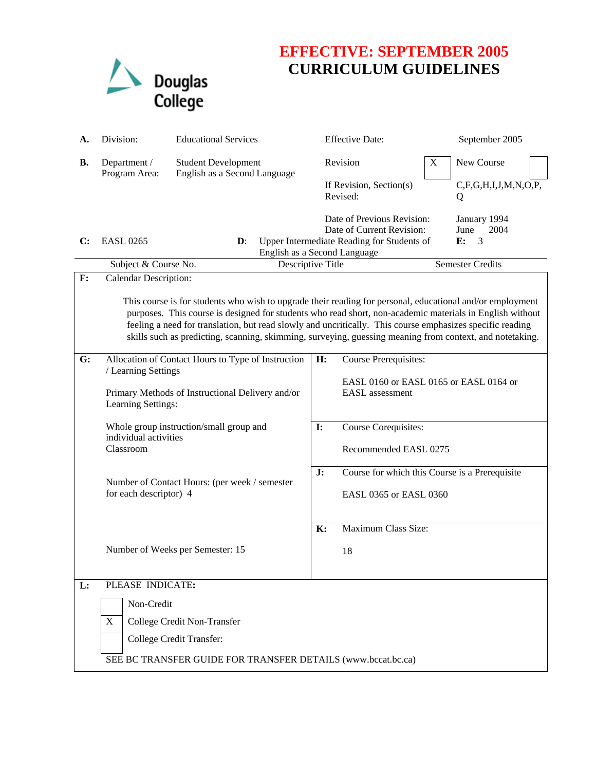

## **EFFECTIVE: SEPTEMBER 2005 CURRICULUM GUIDELINES**

| А. | Division:                                                                                                                                                                                                                                                                                                                                                                                                                                                                      | <b>Educational Services</b>                                |                | <b>Effective Date:</b>                                                                                |  | September 2005                          |
|----|--------------------------------------------------------------------------------------------------------------------------------------------------------------------------------------------------------------------------------------------------------------------------------------------------------------------------------------------------------------------------------------------------------------------------------------------------------------------------------|------------------------------------------------------------|----------------|-------------------------------------------------------------------------------------------------------|--|-----------------------------------------|
| В. | Department /<br>Program Area:                                                                                                                                                                                                                                                                                                                                                                                                                                                  | <b>Student Development</b><br>English as a Second Language |                | Revision<br>X<br>If Revision, Section(s)<br>Revised:                                                  |  | New Course<br>C,F,G,H,I,J,M,N,O,P,<br>Q |
| C: | <b>EASL 0265</b>                                                                                                                                                                                                                                                                                                                                                                                                                                                               | $\mathbf{D}$ :<br>English as a Second Language             |                | Date of Previous Revision:<br>Date of Current Revision:<br>Upper Intermediate Reading for Students of |  | January 1994<br>June<br>2004<br>3<br>E: |
|    | Subject & Course No.                                                                                                                                                                                                                                                                                                                                                                                                                                                           | Descriptive Title                                          |                |                                                                                                       |  | <b>Semester Credits</b>                 |
| F: | <b>Calendar Description:</b><br>This course is for students who wish to upgrade their reading for personal, educational and/or employment<br>purposes. This course is designed for students who read short, non-academic materials in English without<br>feeling a need for translation, but read slowly and uncritically. This course emphasizes specific reading<br>skills such as predicting, scanning, skimming, surveying, guessing meaning from context, and notetaking. |                                                            |                |                                                                                                       |  |                                         |
| G: | Allocation of Contact Hours to Type of Instruction<br>/ Learning Settings<br>Primary Methods of Instructional Delivery and/or<br>Learning Settings:<br>Whole group instruction/small group and<br>individual activities<br>Classroom<br>Number of Contact Hours: (per week / semester<br>for each descriptor) 4<br>Number of Weeks per Semester: 15                                                                                                                            |                                                            | H:             | Course Prerequisites:<br>EASL 0160 or EASL 0165 or EASL 0164 or<br><b>EASL</b> assessment             |  |                                         |
|    |                                                                                                                                                                                                                                                                                                                                                                                                                                                                                |                                                            | I:             | Course Corequisites:<br>Recommended EASL 0275                                                         |  |                                         |
|    |                                                                                                                                                                                                                                                                                                                                                                                                                                                                                |                                                            | J:             | Course for which this Course is a Prerequisite<br>EASL 0365 or EASL 0360                              |  |                                         |
|    |                                                                                                                                                                                                                                                                                                                                                                                                                                                                                |                                                            | $\mathbf{K}$ : | Maximum Class Size:<br>18                                                                             |  |                                         |
| L: | PLEASE INDICATE:<br>Non-Credit<br>College Credit Non-Transfer<br>X<br>College Credit Transfer:<br>SEE BC TRANSFER GUIDE FOR TRANSFER DETAILS (www.bccat.bc.ca)                                                                                                                                                                                                                                                                                                                 |                                                            |                |                                                                                                       |  |                                         |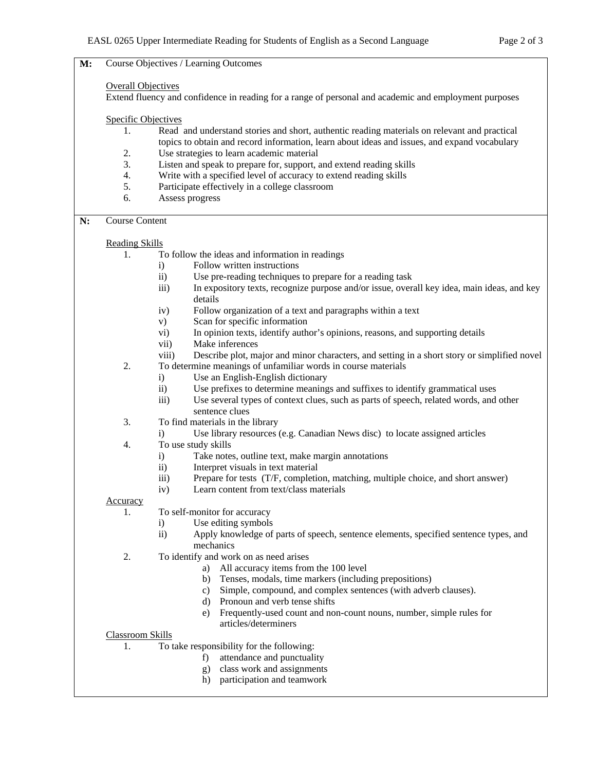| M: | Course Objectives / Learning Outcomes |                                                                                                                                                 |  |  |  |  |
|----|---------------------------------------|-------------------------------------------------------------------------------------------------------------------------------------------------|--|--|--|--|
|    | <b>Overall Objectives</b>             |                                                                                                                                                 |  |  |  |  |
|    |                                       | Extend fluency and confidence in reading for a range of personal and academic and employment purposes                                           |  |  |  |  |
|    | <b>Specific Objectives</b>            |                                                                                                                                                 |  |  |  |  |
|    | 1.                                    | Read and understand stories and short, authentic reading materials on relevant and practical                                                    |  |  |  |  |
|    |                                       | topics to obtain and record information, learn about ideas and issues, and expand vocabulary                                                    |  |  |  |  |
|    | 2.                                    | Use strategies to learn academic material                                                                                                       |  |  |  |  |
|    | 3.                                    | Listen and speak to prepare for, support, and extend reading skills                                                                             |  |  |  |  |
|    | 4.                                    | Write with a specified level of accuracy to extend reading skills                                                                               |  |  |  |  |
|    | 5.                                    | Participate effectively in a college classroom                                                                                                  |  |  |  |  |
|    | 6.                                    | Assess progress                                                                                                                                 |  |  |  |  |
| N: | <b>Course Content</b>                 |                                                                                                                                                 |  |  |  |  |
|    | <b>Reading Skills</b>                 |                                                                                                                                                 |  |  |  |  |
|    | 1.                                    | To follow the ideas and information in readings                                                                                                 |  |  |  |  |
|    |                                       | Follow written instructions<br>$\mathbf{i}$                                                                                                     |  |  |  |  |
|    |                                       | Use pre-reading techniques to prepare for a reading task<br>$\mathbf{ii}$                                                                       |  |  |  |  |
|    |                                       | In expository texts, recognize purpose and/or issue, overall key idea, main ideas, and key<br>iii)                                              |  |  |  |  |
|    |                                       | details                                                                                                                                         |  |  |  |  |
|    |                                       | Follow organization of a text and paragraphs within a text<br>iv)                                                                               |  |  |  |  |
|    |                                       | Scan for specific information<br>V)<br>In opinion texts, identify author's opinions, reasons, and supporting details<br>vi)                     |  |  |  |  |
|    |                                       | Make inferences<br>vii)                                                                                                                         |  |  |  |  |
|    |                                       | Describe plot, major and minor characters, and setting in a short story or simplified novel<br>viii)                                            |  |  |  |  |
|    | 2.                                    | To determine meanings of unfamiliar words in course materials                                                                                   |  |  |  |  |
|    |                                       | Use an English-English dictionary<br>i)                                                                                                         |  |  |  |  |
|    |                                       | Use prefixes to determine meanings and suffixes to identify grammatical uses<br>$\mathbf{ii}$                                                   |  |  |  |  |
|    |                                       | Use several types of context clues, such as parts of speech, related words, and other<br>$\overline{iii}$ )                                     |  |  |  |  |
|    |                                       | sentence clues                                                                                                                                  |  |  |  |  |
|    | 3.                                    | To find materials in the library                                                                                                                |  |  |  |  |
|    |                                       | Use library resources (e.g. Canadian News disc) to locate assigned articles<br>$\mathbf{i}$                                                     |  |  |  |  |
|    | 4.                                    | To use study skills                                                                                                                             |  |  |  |  |
|    |                                       | Take notes, outline text, make margin annotations<br>$\mathbf{i}$                                                                               |  |  |  |  |
|    |                                       | $\mathbf{ii}$<br>Interpret visuals in text material<br>iii)<br>Prepare for tests (T/F, completion, matching, multiple choice, and short answer) |  |  |  |  |
|    |                                       | Learn content from text/class materials<br>iv)                                                                                                  |  |  |  |  |
|    | <u>Accuracy</u>                       |                                                                                                                                                 |  |  |  |  |
|    | 1.                                    | To self-monitor for accuracy                                                                                                                    |  |  |  |  |
|    |                                       | Use editing symbols<br>$\mathbf{i}$                                                                                                             |  |  |  |  |
|    |                                       | $\rm ii)$<br>Apply knowledge of parts of speech, sentence elements, specified sentence types, and                                               |  |  |  |  |
|    |                                       | mechanics                                                                                                                                       |  |  |  |  |
|    | 2.                                    | To identify and work on as need arises                                                                                                          |  |  |  |  |
|    |                                       | All accuracy items from the 100 level<br>a)                                                                                                     |  |  |  |  |
|    |                                       | Tenses, modals, time markers (including prepositions)<br>b)                                                                                     |  |  |  |  |
|    |                                       | Simple, compound, and complex sentences (with adverb clauses).<br>c)                                                                            |  |  |  |  |
|    |                                       | Pronoun and verb tense shifts<br>$\rm d$                                                                                                        |  |  |  |  |
|    |                                       | Frequently-used count and non-count nouns, number, simple rules for<br>e)<br>articles/determiners                                               |  |  |  |  |
|    | <b>Classroom Skills</b>               |                                                                                                                                                 |  |  |  |  |
|    | 1.                                    | To take responsibility for the following:                                                                                                       |  |  |  |  |
|    |                                       | attendance and punctuality<br>f)                                                                                                                |  |  |  |  |
|    |                                       | class work and assignments<br>g)                                                                                                                |  |  |  |  |
|    |                                       | participation and teamwork<br>h)                                                                                                                |  |  |  |  |